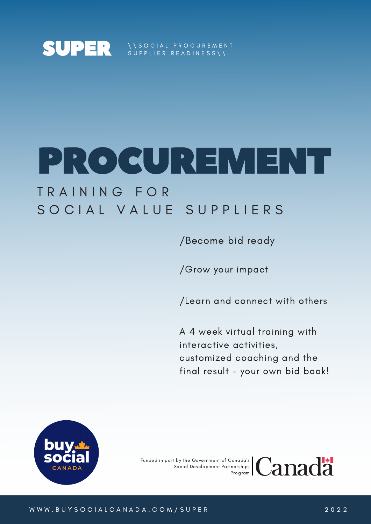

\ \ S O C I A L P R O C U R E M E N T  $\texttt{Suppuler}$  readiness\\

# PROCUREMENT

### T R A I N I N G F O R SOCIAL VALUE SUPPLIERS

/Become bid ready

/Grow your impact

/Learn and connect with others

A 4 week virtual training with interactive activities, customized coaching and the final result - your own bid book!



Funded in part by the Government of Canada's Social Development Partnerships

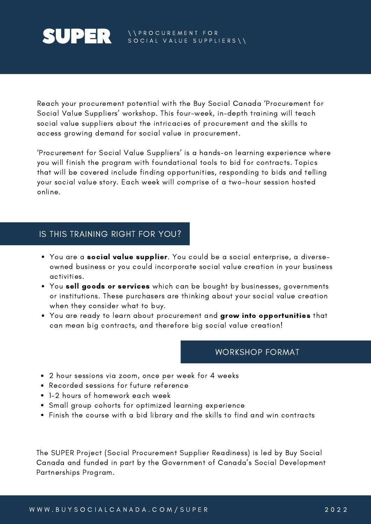## **SUPER**

Reach your procurement potential with the Buy Social Canada 'Procurement for Social Value Suppliers' workshop. This four-week, in-depth training will teach social value suppliers about the intricacies of procurement and the skills to access growing demand for social value in procurement.

'Procurement for Social Value Suppliers' is a hands-on learning experience where you will finish the program with foundational tools to bid for contracts. Topics that will be covered include finding opportunities, responding to bids and telling your social value story. Each week will comprise of a two-hour session hosted online.

#### IS THIS TRAINING RIGHT FOR YOU?

- You are a social value supplier. You could be a social enterprise, a diverseowned business or you could incorporate social value creation in your business activities.
- You sell goods or services which can be bought by businesses, governments or institutions. These purchasers are thinking about your social value creation when they consider what to buy.
- You are ready to learn about procurement and grow into opportunities that can mean big contracts, and therefore big social value creation!

#### WORKSHOP FORMAT

- 2 hour sessions via zoom, once per week for 4 weeks
- Recorded sessions for future reference
- 1-2 hours of homework each week
- Small group cohorts for optimized learning experience
- Finish the course with a bid library and the skills to find and win contracts

The SUPER Project (Social Procurement Supplier Readiness) is led by Buy Social Canada and funded in part by the Government of Canada's Social Development Partnerships Program.